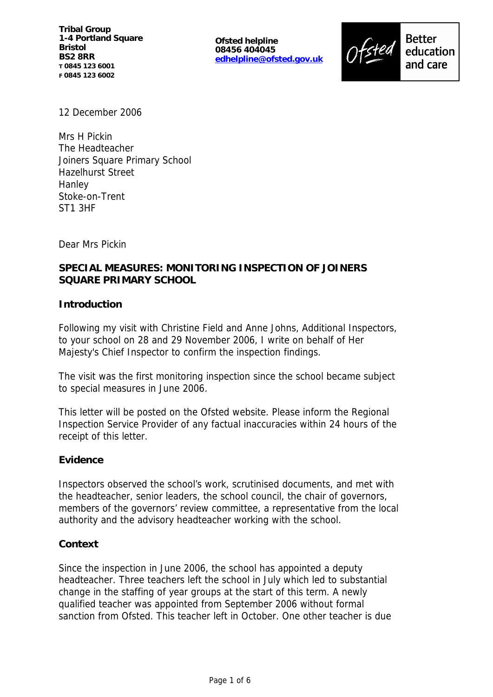**Ofsted helpline 08456 404045 edhelpline@ofsted.gov.uk**



12 December 2006

Mrs H Pickin The Headteacher Joiners Square Primary School Hazelhurst Street Hanley Stoke-on-Trent ST1 3HF

Dear Mrs Pickin

# **SPECIAL MEASURES: MONITORING INSPECTION OF JOINERS SQUARE PRIMARY SCHOOL**

### **Introduction**

Following my visit with Christine Field and Anne Johns, Additional Inspectors, to your school on 28 and 29 November 2006, I write on behalf of Her Majesty's Chief Inspector to confirm the inspection findings.

The visit was the first monitoring inspection since the school became subject to special measures in June 2006.

This letter will be posted on the Ofsted website. Please inform the Regional Inspection Service Provider of any factual inaccuracies within 24 hours of the receipt of this letter.

#### **Evidence**

Inspectors observed the school's work, scrutinised documents, and met with the headteacher, senior leaders, the school council, the chair of governors, members of the governors' review committee, a representative from the local authority and the advisory headteacher working with the school.

#### **Context**

Since the inspection in June 2006, the school has appointed a deputy headteacher. Three teachers left the school in July which led to substantial change in the staffing of year groups at the start of this term. A newly qualified teacher was appointed from September 2006 without formal sanction from Ofsted. This teacher left in October. One other teacher is due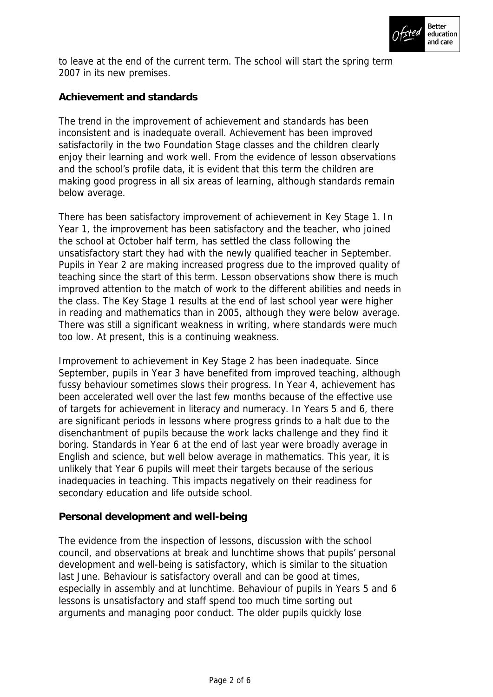

to leave at the end of the current term. The school will start the spring term 2007 in its new premises.

**Achievement and standards**

The trend in the improvement of achievement and standards has been inconsistent and is inadequate overall. Achievement has been improved satisfactorily in the two Foundation Stage classes and the children clearly enjoy their learning and work well. From the evidence of lesson observations and the school's profile data, it is evident that this term the children are making good progress in all six areas of learning, although standards remain below average.

There has been satisfactory improvement of achievement in Key Stage 1. In Year 1, the improvement has been satisfactory and the teacher, who joined the school at October half term, has settled the class following the unsatisfactory start they had with the newly qualified teacher in September. Pupils in Year 2 are making increased progress due to the improved quality of teaching since the start of this term. Lesson observations show there is much improved attention to the match of work to the different abilities and needs in the class. The Key Stage 1 results at the end of last school year were higher in reading and mathematics than in 2005, although they were below average. There was still a significant weakness in writing, where standards were much too low. At present, this is a continuing weakness.

Improvement to achievement in Key Stage 2 has been inadequate. Since September, pupils in Year 3 have benefited from improved teaching, although fussy behaviour sometimes slows their progress. In Year 4, achievement has been accelerated well over the last few months because of the effective use of targets for achievement in literacy and numeracy. In Years 5 and 6, there are significant periods in lessons where progress grinds to a halt due to the disenchantment of pupils because the work lacks challenge and they find it boring. Standards in Year 6 at the end of last year were broadly average in English and science, but well below average in mathematics. This year, it is unlikely that Year 6 pupils will meet their targets because of the serious inadequacies in teaching. This impacts negatively on their readiness for secondary education and life outside school.

### **Personal development and well-being**

The evidence from the inspection of lessons, discussion with the school council, and observations at break and lunchtime shows that pupils' personal development and well-being is satisfactory, which is similar to the situation last June. Behaviour is satisfactory overall and can be good at times, especially in assembly and at lunchtime. Behaviour of pupils in Years 5 and 6 lessons is unsatisfactory and staff spend too much time sorting out arguments and managing poor conduct. The older pupils quickly lose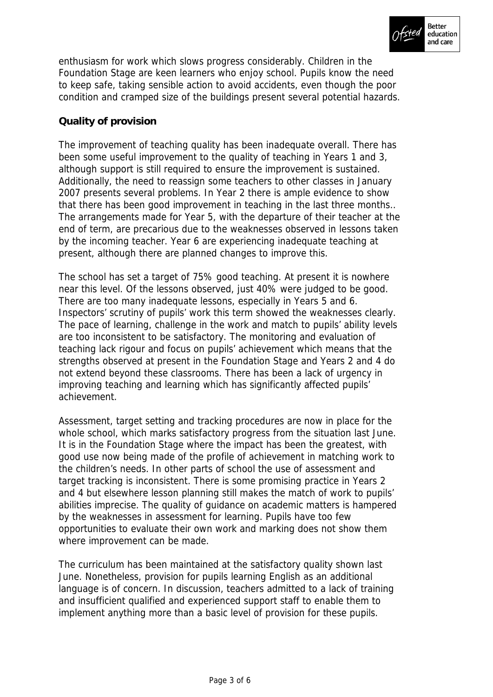

enthusiasm for work which slows progress considerably. Children in the Foundation Stage are keen learners who enjoy school. Pupils know the need to keep safe, taking sensible action to avoid accidents, even though the poor condition and cramped size of the buildings present several potential hazards.

### **Quality of provision**

The improvement of teaching quality has been inadequate overall. There has been some useful improvement to the quality of teaching in Years 1 and 3, although support is still required to ensure the improvement is sustained. Additionally, the need to reassign some teachers to other classes in January 2007 presents several problems. In Year 2 there is ample evidence to show that there has been good improvement in teaching in the last three months.. The arrangements made for Year 5, with the departure of their teacher at the end of term, are precarious due to the weaknesses observed in lessons taken by the incoming teacher. Year 6 are experiencing inadequate teaching at present, although there are planned changes to improve this.

The school has set a target of 75% good teaching. At present it is nowhere near this level. Of the lessons observed, just 40% were judged to be good. There are too many inadequate lessons, especially in Years 5 and 6. Inspectors' scrutiny of pupils' work this term showed the weaknesses clearly. The pace of learning, challenge in the work and match to pupils' ability levels are too inconsistent to be satisfactory. The monitoring and evaluation of teaching lack rigour and focus on pupils' achievement which means that the strengths observed at present in the Foundation Stage and Years 2 and 4 do not extend beyond these classrooms. There has been a lack of urgency in improving teaching and learning which has significantly affected pupils' achievement.

Assessment, target setting and tracking procedures are now in place for the whole school, which marks satisfactory progress from the situation last June. It is in the Foundation Stage where the impact has been the greatest, with good use now being made of the profile of achievement in matching work to the children's needs. In other parts of school the use of assessment and target tracking is inconsistent. There is some promising practice in Years 2 and 4 but elsewhere lesson planning still makes the match of work to pupils' abilities imprecise. The quality of guidance on academic matters is hampered by the weaknesses in assessment for learning. Pupils have too few opportunities to evaluate their own work and marking does not show them where improvement can be made.

The curriculum has been maintained at the satisfactory quality shown last June. Nonetheless, provision for pupils learning English as an additional language is of concern. In discussion, teachers admitted to a lack of training and insufficient qualified and experienced support staff to enable them to implement anything more than a basic level of provision for these pupils.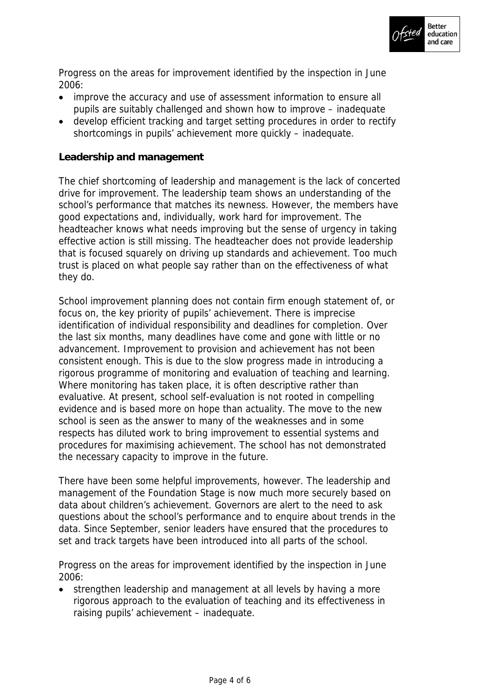

Progress on the areas for improvement identified by the inspection in June 2006:

- improve the accuracy and use of assessment information to ensure all pupils are suitably challenged and shown how to improve – inadequate
- develop efficient tracking and target setting procedures in order to rectify shortcomings in pupils' achievement more quickly – inadequate.

### **Leadership and management**

The chief shortcoming of leadership and management is the lack of concerted drive for improvement. The leadership team shows an understanding of the school's performance that matches its newness. However, the members have good expectations and, individually, work hard for improvement. The headteacher knows what needs improving but the sense of urgency in taking effective action is still missing. The headteacher does not provide leadership that is focused squarely on driving up standards and achievement. Too much trust is placed on what people say rather than on the effectiveness of what they do.

School improvement planning does not contain firm enough statement of, or focus on, the key priority of pupils' achievement. There is imprecise identification of individual responsibility and deadlines for completion. Over the last six months, many deadlines have come and gone with little or no advancement. Improvement to provision and achievement has not been consistent enough. This is due to the slow progress made in introducing a rigorous programme of monitoring and evaluation of teaching and learning. Where monitoring has taken place, it is often descriptive rather than evaluative. At present, school self-evaluation is not rooted in compelling evidence and is based more on hope than actuality. The move to the new school is seen as the answer to many of the weaknesses and in some respects has diluted work to bring improvement to essential systems and procedures for maximising achievement. The school has not demonstrated the necessary capacity to improve in the future.

There have been some helpful improvements, however. The leadership and management of the Foundation Stage is now much more securely based on data about children's achievement. Governors are alert to the need to ask questions about the school's performance and to enquire about trends in the data. Since September, senior leaders have ensured that the procedures to set and track targets have been introduced into all parts of the school.

Progress on the areas for improvement identified by the inspection in June 2006:

• strengthen leadership and management at all levels by having a more rigorous approach to the evaluation of teaching and its effectiveness in raising pupils' achievement – inadequate.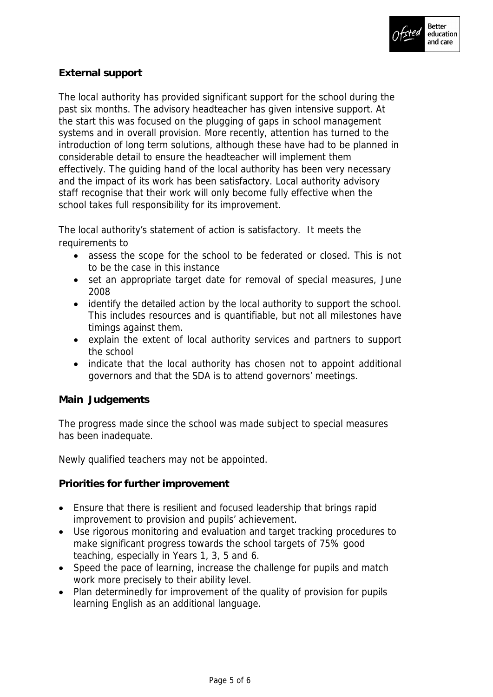

## **External support**

The local authority has provided significant support for the school during the past six months. The advisory headteacher has given intensive support. At the start this was focused on the plugging of gaps in school management systems and in overall provision. More recently, attention has turned to the introduction of long term solutions, although these have had to be planned in considerable detail to ensure the headteacher will implement them effectively. The guiding hand of the local authority has been very necessary and the impact of its work has been satisfactory. Local authority advisory staff recognise that their work will only become fully effective when the school takes full responsibility for its improvement.

The local authority's statement of action is satisfactory. It meets the requirements to

- assess the scope for the school to be federated or closed. This is not to be the case in this instance
- set an appropriate target date for removal of special measures, June 2008
- identify the detailed action by the local authority to support the school. This includes resources and is quantifiable, but not all milestones have timings against them.
- explain the extent of local authority services and partners to support the school
- indicate that the local authority has chosen not to appoint additional governors and that the SDA is to attend governors' meetings.

#### **Main Judgements**

The progress made since the school was made subject to special measures has been inadequate.

Newly qualified teachers may not be appointed.

**Priorities for further improvement**

- Ensure that there is resilient and focused leadership that brings rapid improvement to provision and pupils' achievement.
- Use rigorous monitoring and evaluation and target tracking procedures to make significant progress towards the school targets of 75% good teaching, especially in Years 1, 3, 5 and 6.
- Speed the pace of learning, increase the challenge for pupils and match work more precisely to their ability level.
- Plan determinedly for improvement of the quality of provision for pupils learning English as an additional language.